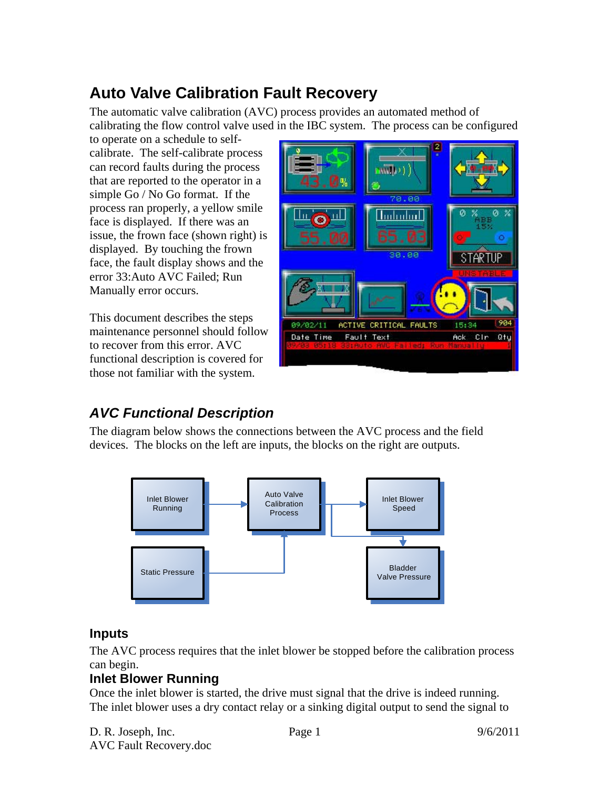# **Auto Valve Calibration Fault Recovery**

The automatic valve calibration (AVC) process provides an automated method of calibrating the flow control valve used in the IBC system. The process can be configured

to operate on a schedule to selfcalibrate. The self-calibrate process can record faults during the process that are reported to the operator in a simple Go / No Go format. If the process ran properly, a yellow smile face is displayed. If there was an issue, the frown face (shown right) is displayed. By touching the frown face, the fault display shows and the error 33:Auto AVC Failed; Run Manually error occurs.

This document describes the steps maintenance personnel should follow to recover from this error. AVC functional description is covered for those not familiar with the system.



## *AVC Functional Description*

The diagram below shows the connections between the AVC process and the field devices. The blocks on the left are inputs, the blocks on the right are outputs.



#### **Inputs**

The AVC process requires that the inlet blower be stopped before the calibration process can begin.

#### **Inlet Blower Running**

Once the inlet blower is started, the drive must signal that the drive is indeed running. The inlet blower uses a dry contact relay or a sinking digital output to send the signal to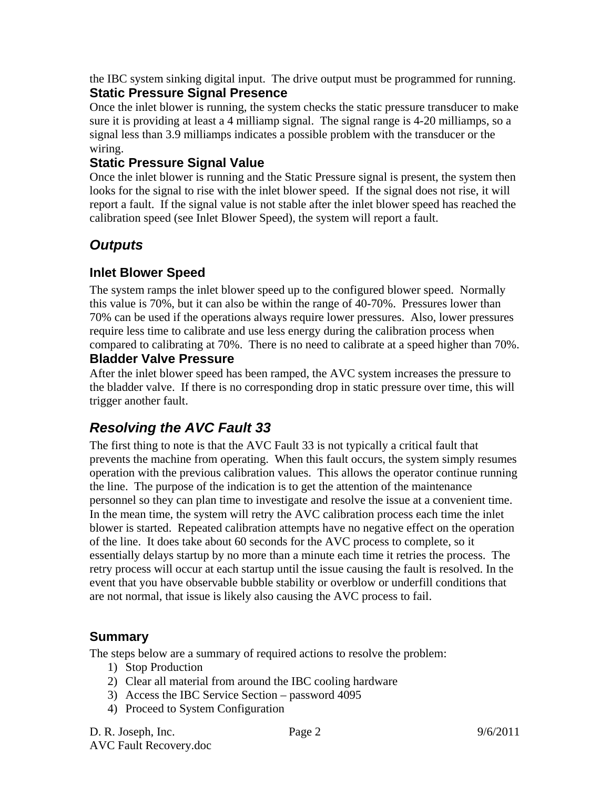the IBC system sinking digital input. The drive output must be programmed for running. **Static Pressure Signal Presence** 

Once the inlet blower is running, the system checks the static pressure transducer to make sure it is providing at least a 4 milliamp signal. The signal range is 4-20 milliamps, so a signal less than 3.9 milliamps indicates a possible problem with the transducer or the wiring.

#### **Static Pressure Signal Value**

Once the inlet blower is running and the Static Pressure signal is present, the system then looks for the signal to rise with the inlet blower speed. If the signal does not rise, it will report a fault. If the signal value is not stable after the inlet blower speed has reached the calibration speed (see Inlet Blower Speed), the system will report a fault.

## *Outputs*

#### **Inlet Blower Speed**

The system ramps the inlet blower speed up to the configured blower speed. Normally this value is 70%, but it can also be within the range of 40-70%. Pressures lower than 70% can be used if the operations always require lower pressures. Also, lower pressures require less time to calibrate and use less energy during the calibration process when compared to calibrating at 70%. There is no need to calibrate at a speed higher than 70%.

#### **Bladder Valve Pressure**

After the inlet blower speed has been ramped, the AVC system increases the pressure to the bladder valve. If there is no corresponding drop in static pressure over time, this will trigger another fault.

### *Resolving the AVC Fault 33*

The first thing to note is that the AVC Fault 33 is not typically a critical fault that prevents the machine from operating. When this fault occurs, the system simply resumes operation with the previous calibration values. This allows the operator continue running the line. The purpose of the indication is to get the attention of the maintenance personnel so they can plan time to investigate and resolve the issue at a convenient time. In the mean time, the system will retry the AVC calibration process each time the inlet blower is started. Repeated calibration attempts have no negative effect on the operation of the line. It does take about 60 seconds for the AVC process to complete, so it essentially delays startup by no more than a minute each time it retries the process. The retry process will occur at each startup until the issue causing the fault is resolved. In the event that you have observable bubble stability or overblow or underfill conditions that are not normal, that issue is likely also causing the AVC process to fail.

#### **Summary**

The steps below are a summary of required actions to resolve the problem:

- 1) Stop Production
- 2) Clear all material from around the IBC cooling hardware
- 3) Access the IBC Service Section password 4095
- 4) Proceed to System Configuration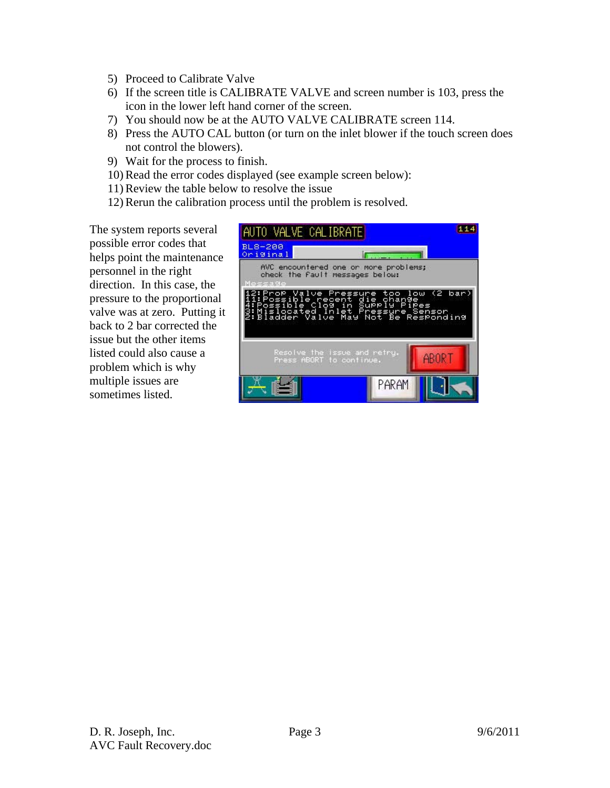- 5) Proceed to Calibrate Valve
- 6) If the screen title is CALIBRATE VALVE and screen number is 103, press the icon in the lower left hand corner of the screen.
- 7) You should now be at the AUTO VALVE CALIBRATE screen 114.
- 8) Press the AUTO CAL button (or turn on the inlet blower if the touch screen does not control the blowers).
- 9) Wait for the process to finish.
- 10) Read the error codes displayed (see example screen below):
- 11) Review the table below to resolve the issue
- 12) Rerun the calibration process until the problem is resolved.

The system reports several possible error codes that helps point the maintenance personnel in the right direction. In this case, the pressure to the proportional valve was at zero. Putting it back to 2 bar corrected the issue but the other items listed could also cause a problem which is why multiple issues are sometimes listed.

| AUTO VALVE CALIBRATE                                                                                                                                                                           |  |       | 114 |
|------------------------------------------------------------------------------------------------------------------------------------------------------------------------------------------------|--|-------|-----|
| BL8-200<br>Original                                                                                                                                                                            |  |       |     |
| AVC encountered one or more problems;<br>check the fault messages below:<br>Message                                                                                                            |  |       |     |
| 2:ProP Valve Pressure too low (2 bar)<br>ii:Possible recent die change – – –<br>4:Possible Clog in Supply Pipes<br>3:Mislocated Inlet Pressure Sensor<br>2:Bladder Valve May Not Be Responding |  |       |     |
| Resolve the issue and retru.<br>ABORT<br>Press ABORT to continue.                                                                                                                              |  |       |     |
|                                                                                                                                                                                                |  | PARAM |     |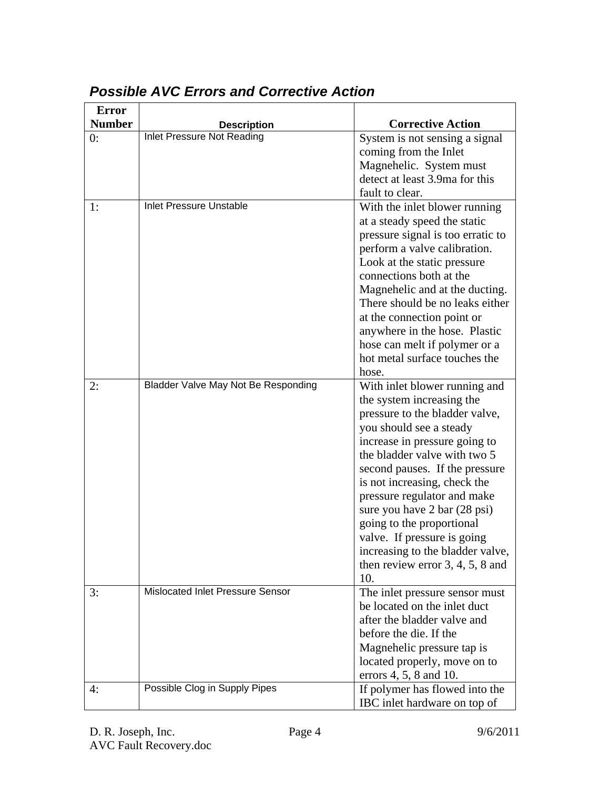| <b>Error</b>  |                                     |                                    |
|---------------|-------------------------------------|------------------------------------|
| <b>Number</b> | <b>Description</b>                  | <b>Corrective Action</b>           |
| 0:            | Inlet Pressure Not Reading          | System is not sensing a signal     |
|               |                                     | coming from the Inlet              |
|               |                                     | Magnehelic. System must            |
|               |                                     | detect at least 3.9ma for this     |
|               |                                     | fault to clear.                    |
| 1:            | <b>Inlet Pressure Unstable</b>      | With the inlet blower running      |
|               |                                     | at a steady speed the static       |
|               |                                     | pressure signal is too erratic to  |
|               |                                     | perform a valve calibration.       |
|               |                                     | Look at the static pressure        |
|               |                                     | connections both at the            |
|               |                                     | Magnehelic and at the ducting.     |
|               |                                     | There should be no leaks either    |
|               |                                     | at the connection point or         |
|               |                                     | anywhere in the hose. Plastic      |
|               |                                     | hose can melt if polymer or a      |
|               |                                     | hot metal surface touches the      |
|               |                                     | hose.                              |
| 2:            | Bladder Valve May Not Be Responding | With inlet blower running and      |
|               |                                     | the system increasing the          |
|               |                                     | pressure to the bladder valve,     |
|               |                                     | you should see a steady            |
|               |                                     | increase in pressure going to      |
|               |                                     | the bladder valve with two 5       |
|               |                                     | second pauses. If the pressure     |
|               |                                     | is not increasing, check the       |
|               |                                     | pressure regulator and make        |
|               |                                     | sure you have 2 bar (28 psi)       |
|               |                                     | going to the proportional          |
|               |                                     | valve. If pressure is going        |
|               |                                     | increasing to the bladder valve,   |
|               |                                     | then review error $3, 4, 5, 8$ and |
|               |                                     | 10.                                |
| 3:            | Mislocated Inlet Pressure Sensor    | The inlet pressure sensor must     |
|               |                                     | be located on the inlet duct       |
|               |                                     | after the bladder valve and        |
|               |                                     | before the die. If the             |
|               |                                     | Magnehelic pressure tap is         |
|               |                                     | located properly, move on to       |
|               |                                     | errors 4, 5, 8 and 10.             |
| 4:            | Possible Clog in Supply Pipes       | If polymer has flowed into the     |
|               |                                     | IBC inlet hardware on top of       |

## *Possible AVC Errors and Corrective Action*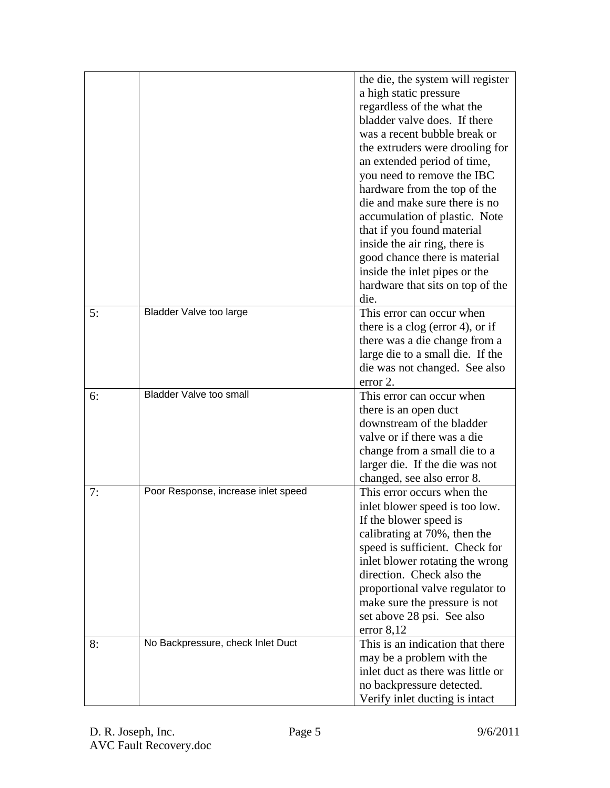|    |                                     | the die, the system will register<br>a high static pressure<br>regardless of the what the<br>bladder valve does. If there<br>was a recent bubble break or<br>the extruders were drooling for<br>an extended period of time,<br>you need to remove the IBC<br>hardware from the top of the<br>die and make sure there is no<br>accumulation of plastic. Note<br>that if you found material<br>inside the air ring, there is<br>good chance there is material<br>inside the inlet pipes or the<br>hardware that sits on top of the<br>die. |
|----|-------------------------------------|------------------------------------------------------------------------------------------------------------------------------------------------------------------------------------------------------------------------------------------------------------------------------------------------------------------------------------------------------------------------------------------------------------------------------------------------------------------------------------------------------------------------------------------|
| 5: | <b>Bladder Valve too large</b>      | This error can occur when<br>there is a clog (error 4), or if<br>there was a die change from a<br>large die to a small die. If the<br>die was not changed. See also<br>error 2.                                                                                                                                                                                                                                                                                                                                                          |
| 6: | <b>Bladder Valve too small</b>      | This error can occur when<br>there is an open duct<br>downstream of the bladder<br>valve or if there was a die<br>change from a small die to a<br>larger die. If the die was not<br>changed, see also error 8.                                                                                                                                                                                                                                                                                                                           |
| 7: | Poor Response, increase inlet speed | This error occurs when the<br>inlet blower speed is too low.<br>If the blower speed is<br>calibrating at 70%, then the<br>speed is sufficient. Check for<br>inlet blower rotating the wrong<br>direction. Check also the<br>proportional valve regulator to<br>make sure the pressure is not<br>set above 28 psi. See also<br>error $8,12$                                                                                                                                                                                               |
| 8: | No Backpressure, check Inlet Duct   | This is an indication that there<br>may be a problem with the<br>inlet duct as there was little or<br>no backpressure detected.<br>Verify inlet ducting is intact                                                                                                                                                                                                                                                                                                                                                                        |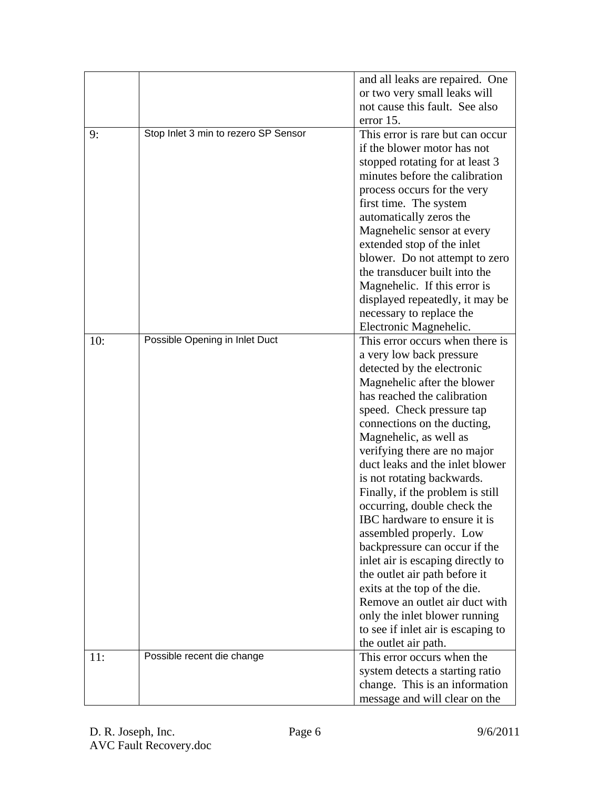|     |                                      | and all leaks are repaired. One    |
|-----|--------------------------------------|------------------------------------|
|     |                                      | or two very small leaks will       |
|     |                                      | not cause this fault. See also     |
|     |                                      | error 15.                          |
| 9:  | Stop Inlet 3 min to rezero SP Sensor | This error is rare but can occur   |
|     |                                      | if the blower motor has not        |
|     |                                      | stopped rotating for at least 3    |
|     |                                      | minutes before the calibration     |
|     |                                      | process occurs for the very        |
|     |                                      | first time. The system             |
|     |                                      | automatically zeros the            |
|     |                                      | Magnehelic sensor at every         |
|     |                                      | extended stop of the inlet         |
|     |                                      | blower. Do not attempt to zero     |
|     |                                      | the transducer built into the      |
|     |                                      | Magnehelic. If this error is       |
|     |                                      | displayed repeatedly, it may be    |
|     |                                      | necessary to replace the           |
|     |                                      | Electronic Magnehelic.             |
| 10: | Possible Opening in Inlet Duct       | This error occurs when there is    |
|     |                                      | a very low back pressure           |
|     |                                      | detected by the electronic         |
|     |                                      | Magnehelic after the blower        |
|     |                                      | has reached the calibration        |
|     |                                      | speed. Check pressure tap          |
|     |                                      | connections on the ducting,        |
|     |                                      | Magnehelic, as well as             |
|     |                                      | verifying there are no major       |
|     |                                      | duct leaks and the inlet blower    |
|     |                                      | is not rotating backwards.         |
|     |                                      | Finally, if the problem is still   |
|     |                                      | occurring, double check the        |
|     |                                      | IBC hardware to ensure it is       |
|     |                                      | assembled properly. Low            |
|     |                                      | backpressure can occur if the      |
|     |                                      | inlet air is escaping directly to  |
|     |                                      | the outlet air path before it      |
|     |                                      | exits at the top of the die.       |
|     |                                      | Remove an outlet air duct with     |
|     |                                      | only the inlet blower running      |
|     |                                      | to see if inlet air is escaping to |
|     |                                      | the outlet air path.               |
| 11: | Possible recent die change           | This error occurs when the         |
|     |                                      | system detects a starting ratio    |
|     |                                      | change. This is an information     |
|     |                                      | message and will clear on the      |